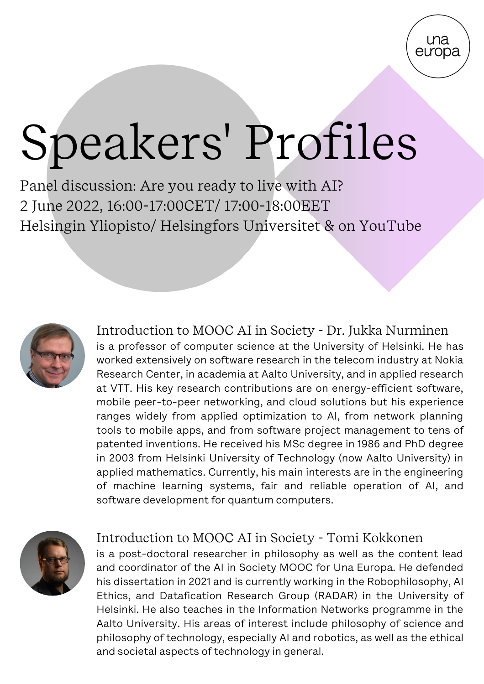

# Speakers' Profiles

Panel discussion: Are you ready to live with AI? 2 June 2022, 16:00-17:00CET/ 17:00-18:00EET Helsingin Yliopisto/ [Helsingfors Universitet](https://www.una-europa.eu/about/helsingin-yliopisto#entry:881@1:url) & on YouTube



Introduction to MOOC AI in Society - Dr. Jukka Nurminen is a professor of computer science at the University of Helsinki. He has worked extensively on software research in the telecom industry at Nokia Research Center, in academia at Aalto University, and in applied research at VTT. His key research contributions are on energy-efficient software, mobile peer-to-peer networking, and cloud solutions but his experience ranges widely from applied optimization to AI, from network planning tools to mobile apps, and from software project management to tens of patented inventions. He received his MSc degree in 1986 and PhD degree in 2003 from Helsinki University of Technology (now Aalto University) in applied mathematics. Currently, his main interests are in the engineering of machine learning systems, fair and reliable operation of AI, and software development for quantum computers.



## Introduction to MOOC AI in Society - Tomi Kokkonen

is a post-doctoral researcher in philosophy as well as the content lead and coordinator of the AI in Society MOOC for Una Europa. He defended his dissertation in 2021 and is currently working in the Robophilosophy, AI Ethics, and Datafication Research Group (RADAR) in the University of Helsinki. He also teaches in the Information Networks programme in the Aalto University. His areas of interest include philosophy of science and philosophy of technology, especially AI and robotics, as well as the ethical and societal aspects of technology in general.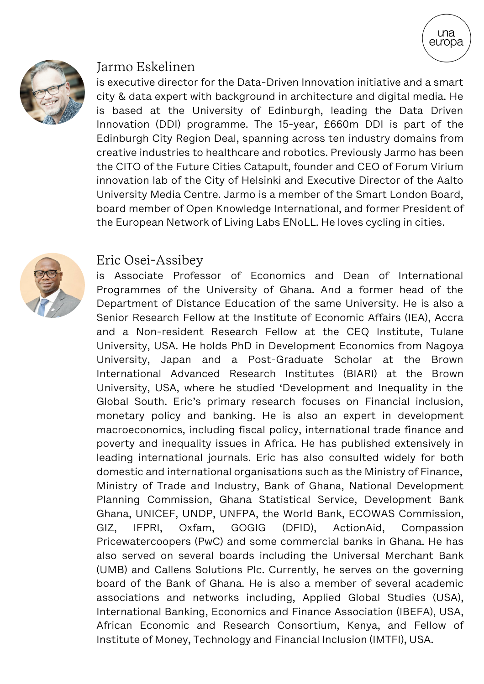

#### Jarmo Eskelinen

is executive director for the Data-Driven Innovation initiative and a smart city & data expert with background in architecture and digital media. He is based at the University of Edinburgh, leading the Data Driven Innovation (DDI) programme. The 15-year, £660m DDI is part of the Edinburgh City Region Deal, spanning across ten industry domains from creative industries to healthcare and robotics. Previously Jarmo has been the CITO of the Future Cities Catapult, founder and CEO of Forum Virium innovation lab of the City of Helsinki and Executive Director of the Aalto University Media Centre. Jarmo is a member of the Smart London Board, board member of Open Knowledge International, and former President of the European Network of Living Labs ENoLL. He loves cycling in cities.

**una** europa



#### Eric Osei-Assibey

is Associate Professor of Economics and Dean of International Programmes of the University of Ghana. And a former head of the Department of Distance Education of the same University. He is also a Senior Research Fellow at the Institute of Economic Affairs (IEA), Accra and a Non-resident Research Fellow at the CEQ Institute, Tulane University, USA. He holds PhD in Development Economics from Nagoya University, Japan and a Post-Graduate Scholar at the Brown International Advanced Research Institutes (BIARI) at the Brown University, USA, where he studied 'Development and Inequality in the Global South. Eric's primary research focuses on Financial inclusion, monetary policy and banking. He is also an expert in development macroeconomics, including fiscal policy, international trade finance and poverty and inequality issues in Africa. He has published extensively in leading international journals. Eric has also consulted widely for both domestic and international organisations such as the Ministry of Finance, Ministry of Trade and Industry, Bank of Ghana, National Development Planning Commission, Ghana Statistical Service, Development Bank Ghana, UNICEF, UNDP, UNFPA, the World Bank, ECOWAS Commission, GIZ, IFPRI, Oxfam, GOGIG (DFID), ActionAid, Compassion Pricewatercoopers (PwC) and some commercial banks in Ghana. He has also served on several boards including the Universal Merchant Bank (UMB) and Callens Solutions Plc. Currently, he serves on the governing board of the Bank of Ghana. He is also a member of several academic associations and networks including, Applied Global Studies (USA), International Banking, Economics and Finance Association (IBEFA), USA, African Economic and Research Consortium, Kenya, and Fellow of Institute of Money, Technology and Financial Inclusion (IMTFI), USA.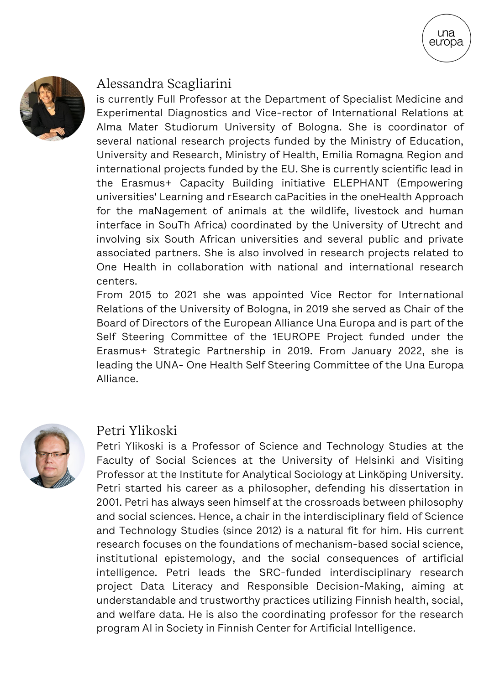

## Alessandra Scagliarini

is currently Full Professor at the Department of Specialist Medicine and Experimental Diagnostics and Vice-rector of International Relations at Alma Mater Studiorum University of Bologna. She is coordinator of several national research projects funded by the Ministry of Education, University and Research, Ministry of Health, Emilia Romagna Region and international projects funded by the EU. She is currently scientific lead in the Erasmus+ Capacity Building initiative ELEPHANT (Empowering universities' Learning and rEsearch caPacities in the oneHealth Approach for the maNagement of animals at the wildlife, livestock and human interface in SouTh Africa) coordinated by the University of Utrecht and involving six South African universities and several public and private associated partners. She is also involved in research projects related to One Health in collaboration with national and international research centers.

**una** eưopa

From 2015 to 2021 she was appointed Vice Rector for International Relations of the University of Bologna, in 2019 she served as Chair of the Board of Directors of the European Alliance Una Europa and is part of the Self Steering Committee of the 1EUROPE Project funded under the Erasmus+ Strategic Partnership in 2019. From January 2022, she is leading the UNA- One Health Self Steering Committee of the Una Europa Alliance.



#### Petri Ylikoski

Petri Ylikoski is a Professor of Science and Technology Studies at the Faculty of Social Sciences at the University of Helsinki and Visiting Professor at the Institute for Analytical Sociology at Linköping University. Petri started his career as a philosopher, defending his dissertation in 2001. Petri has always seen himself at the crossroads between philosophy and social sciences. Hence, a chair in the interdisciplinary field of Science and Technology Studies (since 2012) is a natural fit for him. His current research focuses on the foundations of mechanism-based social science, institutional epistemology, and the social consequences of artificial intelligence. Petri leads the SRC-funded interdisciplinary research project Data Literacy and Responsible Decision-Making, aiming at understandable and trustworthy practices utilizing Finnish health, social, and welfare data. He is also the coordinating professor for the research program AI in Society in Finnish Center for Artificial Intelligence.